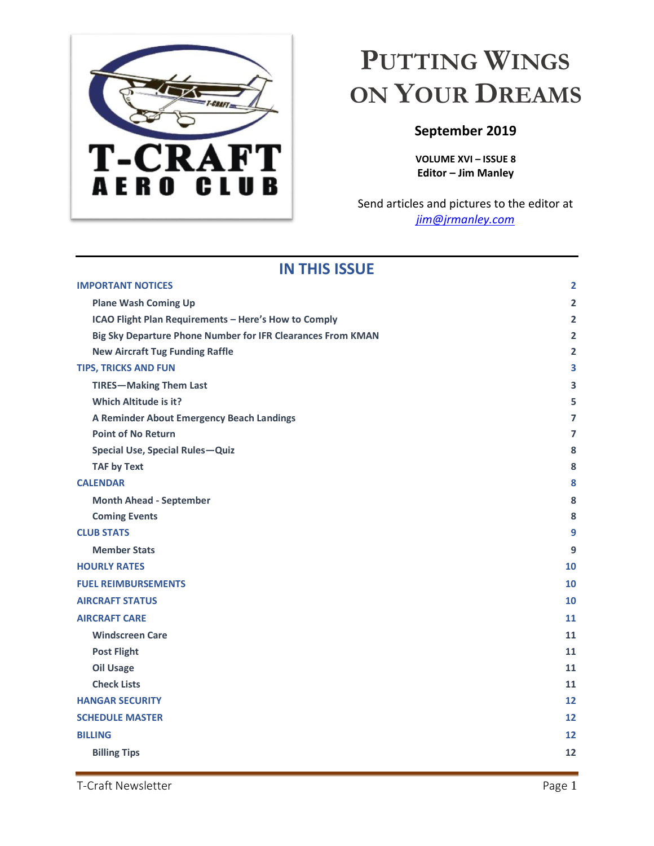

# <span id="page-0-0"></span>**PUTTING WINGS ON YOUR DREAMS**

# **September 2019**

**VOLUME XVI – ISSUE 8 Editor – Jim Manley**

Send articles and pictures to the editor at *[jim@jrmanley.com](mailto:jim@jrmanley.com)*

| <b>IN THIS ISSUE</b>                                        |                |
|-------------------------------------------------------------|----------------|
| <b>IMPORTANT NOTICES</b>                                    | $\overline{2}$ |
| <b>Plane Wash Coming Up</b>                                 | $\overline{2}$ |
| ICAO Flight Plan Requirements - Here's How to Comply        | $\overline{2}$ |
| Big Sky Departure Phone Number for IFR Clearances From KMAN | $\overline{2}$ |
| <b>New Aircraft Tug Funding Raffle</b>                      | $\overline{2}$ |
| <b>TIPS, TRICKS AND FUN</b>                                 | 3              |
| <b>TIRES-Making Them Last</b>                               | 3              |
| <b>Which Altitude is it?</b>                                | 5              |
| A Reminder About Emergency Beach Landings                   | 7              |
| <b>Point of No Return</b>                                   | 7              |
| Special Use, Special Rules-Quiz                             | 8              |
| <b>TAF by Text</b>                                          | 8              |
| <b>CALENDAR</b>                                             | 8              |
| <b>Month Ahead - September</b>                              | 8              |
| <b>Coming Events</b>                                        | 8              |
| <b>CLUB STATS</b>                                           | 9              |
| <b>Member Stats</b>                                         | 9              |
| <b>HOURLY RATES</b>                                         | 10             |
| <b>FUEL REIMBURSEMENTS</b>                                  | 10             |
| <b>AIRCRAFT STATUS</b>                                      | 10             |
| <b>AIRCRAFT CARE</b>                                        | 11             |
| <b>Windscreen Care</b>                                      | 11             |
| <b>Post Flight</b>                                          | 11             |
| <b>Oil Usage</b>                                            | 11             |
| <b>Check Lists</b>                                          | 11             |
| <b>HANGAR SECURITY</b>                                      | 12             |
| <b>SCHEDULE MASTER</b>                                      | 12             |
| <b>BILLING</b>                                              | 12             |
| <b>Billing Tips</b>                                         | 12             |
|                                                             |                |

### T-Craft Newsletter Page 1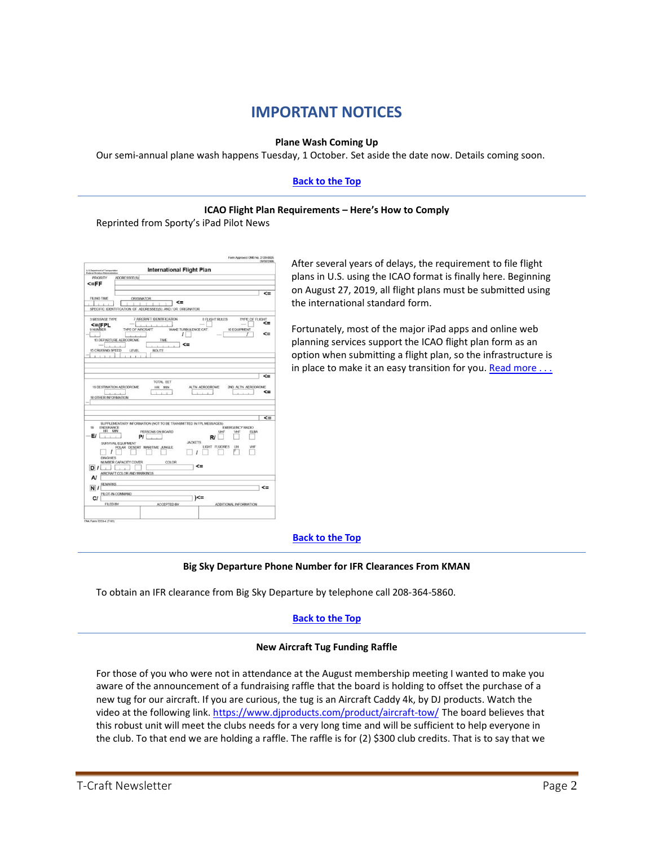# **IMPORTANT NOTICES**

#### **Plane Wash Coming Up**

<span id="page-1-1"></span><span id="page-1-0"></span>Our semi-annual plane wash happens Tuesday, 1 October. Set aside the date now. Details coming soon.

#### **[Back to the Top](#page-0-0)**

#### **ICAO Flight Plan Requirements – Here's How to Comply**

<span id="page-1-2"></span>Reprinted from Sporty's iPad Pilot News

| <b>International Flight Plan</b><br>U S Department of Transportation<br>Fasteral Aviation Administration                                                                                                                                 |                                                                            |
|------------------------------------------------------------------------------------------------------------------------------------------------------------------------------------------------------------------------------------------|----------------------------------------------------------------------------|
| PRIORITY<br>ADDRESSEE(S)                                                                                                                                                                                                                 |                                                                            |
| $< = FF$                                                                                                                                                                                                                                 |                                                                            |
| <b>FILING TIME</b><br>ORIGINATOR<br><=<br>SPECIFIC IDENTIFICATION OF ADDRESSEE(S) AND / OR ORIGINATOR                                                                                                                                    | <=                                                                         |
| 7 AIRCRAFT IDENTIFICATION<br>3 MESSAGE TYPE<br>$\leq$ =(FPL<br>9 NUMBER<br><b>TYPE OF AIRCRAFT</b><br>WAKE TURBULENCE CAT.<br>ı<br>13 DEPARTURE AERODROME<br>TIME<br><=<br>-<br><b>15 CRUISING SPEED</b><br><b>ROUTE</b><br><b>LEVEL</b> | <b>8 FLIGHT RULES</b><br><b>TYPE OF FLIGHT</b><br><=<br>10 EQUIPMENT<br><= |
|                                                                                                                                                                                                                                          |                                                                            |
| TOTAL EET<br>16 DESTINATION AERODROME<br>ALTN AERODROME<br>HR MIN<br>$1 - 1$                                                                                                                                                             | $\leq$<br>2ND ALTN AERODROME<br><=                                         |
| SUPPLEMENTARY INFORMATION (NOT TO BE TRANSMITTED IN FPL MESSAGES)<br><b>ENDURANCE</b><br>HR MIN<br>PERSONS ON BOARD                                                                                                                      | <=<br>EMERGENCY RADIO<br>UHF<br>VHF<br><b>FLBA</b>                         |
| ΕI<br>PI<br><b>JACKETS</b><br>SURVIVAL FOURMENT<br>POLAR DESERT MARITIME JUNGLE<br>ı<br><b>DINGHIES</b><br>NUMBER CAPACITY COVER<br>COLOR<br><=<br>AIRCRAFT COLOR AND MARKINGS<br>A/                                                     | R<br><b>LIGHT FLUORES</b><br><b>UH</b><br><b>VHF</b>                       |
| 18 OTHER INFORMATION<br>19<br>D /<br><b>REMARKS</b><br>N/<br>PILOT-IN-COMMAND<br>)<=<br>C/I<br>FILED BY<br><b>ACCEPTED BY</b>                                                                                                            | <=<br>ADDITIONAL INFORMATION                                               |

After several years of delays, the requirement to file flight plans in U.S. using the ICAO format is finally here. Beginning on August 27, 2019, all flight plans must be submitted using the [international standard form.](https://www.faa.gov/documentLibrary/media/Form/FAA_7233-4_PRA_07-31-2017.pdf)

Fortunately, most of the major iPad apps and online web planning services support the ICAO flight plan form as an option when submitting a flight plan, so the infrastructure is in place to make it an easy transition for you. Read more  $\dots$ 

#### **[Back to the Top](#page-0-0)**

#### **Big Sky Departure Phone Number for IFR Clearances From KMAN**

<span id="page-1-3"></span>To obtain an IFR clearance from Big Sky Departure by telephone call 208-364-5860.

#### **[Back to the Top](#page-0-0)**

#### **New Aircraft Tug Funding Raffle**

<span id="page-1-4"></span>For those of you who were not in attendance at the August membership meeting I wanted to make you aware of the announcement of a fundraising raffle that the board is holding to offset the purchase of a new tug for our aircraft. If you are curious, the tug is an Aircraft Caddy 4k, by DJ products. Watch the video at the following link.<https://www.djproducts.com/product/aircraft-tow/> The board believes that this robust unit will meet the clubs needs for a very long time and will be sufficient to help everyone in the club. To that end we are holding a raffle. The raffle is for (2) \$300 club credits. That is to say that we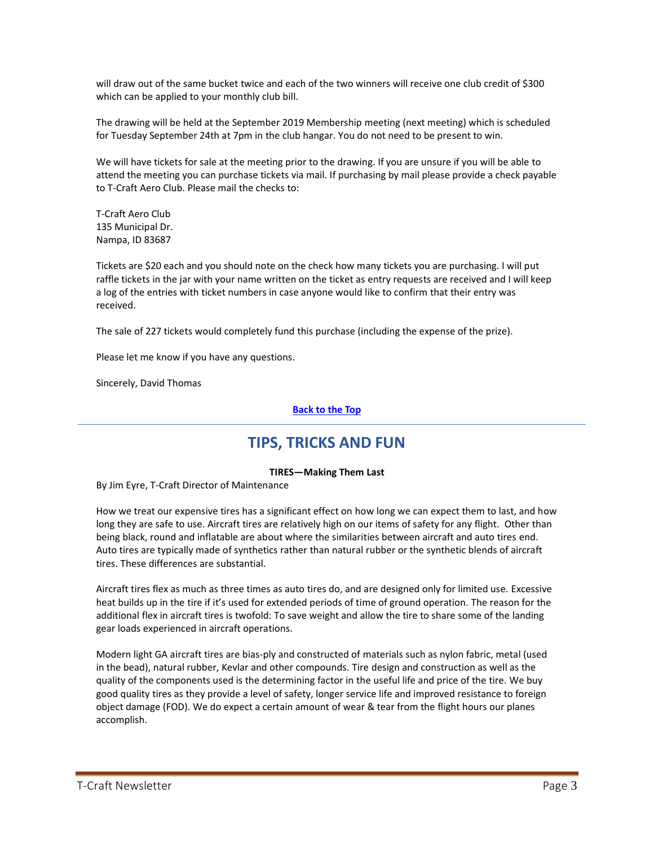will draw out of the same bucket twice and each of the two winners will receive one club credit of \$300 which can be applied to your monthly club bill.

The drawing will be held at the September 2019 Membership meeting (next meeting) which is scheduled for Tuesday September 24th at 7pm in the club hangar. You do not need to be present to win.

We will have tickets for sale at the meeting prior to the drawing. If you are unsure if you will be able to attend the meeting you can purchase tickets via mail. If purchasing by mail please provide a check payable to T-Craft Aero Club. Please mail the checks to:

T-Craft Aero Club 135 Municipal Dr. Nampa, ID 83687

Tickets are \$20 each and you should note on the check how many tickets you are purchasing. I will put raffle tickets in the jar with your name written on the ticket as entry requests are received and I will keep a log of the entries with ticket numbers in case anyone would like to confirm that their entry was received.

The sale of 227 tickets would completely fund this purchase (including the expense of the prize).

Please let me know if you have any questions.

Sincerely, David Thomas

**[Back to the Top](#page-0-0)**

# **TIPS, TRICKS AND FUN**

#### **TIRES—Making Them Last**

<span id="page-2-1"></span><span id="page-2-0"></span>By Jim Eyre, T-Craft Director of Maintenance

How we treat our expensive tires has a significant effect on how long we can expect them to last, and how long they are safe to use. Aircraft tires are relatively high on our items of safety for any flight. Other than being black, round and inflatable are about where the similarities between aircraft and auto tires end. Auto tires are typically made of synthetics rather than natural rubber or the synthetic blends of aircraft tires. These differences are substantial.

Aircraft tires flex as much as three times as auto tires do, and are designed only for limited use. Excessive heat builds up in the tire if it's used for extended periods of time of ground operation. The reason for the additional flex in aircraft tires is twofold: To save weight and allow the tire to share some of the landing gear loads experienced in aircraft operations.

Modern light GA aircraft tires are bias-ply and constructed of materials such as nylon fabric, metal (used in the bead), natural rubber, Kevlar and other compounds. Tire design and construction as well as the quality of the components used is the determining factor in the useful life and price of the tire. We buy good quality tires as they provide a level of safety, longer service life and improved resistance to foreign object damage (FOD). We do expect a certain amount of wear & tear from the flight hours our planes accomplish.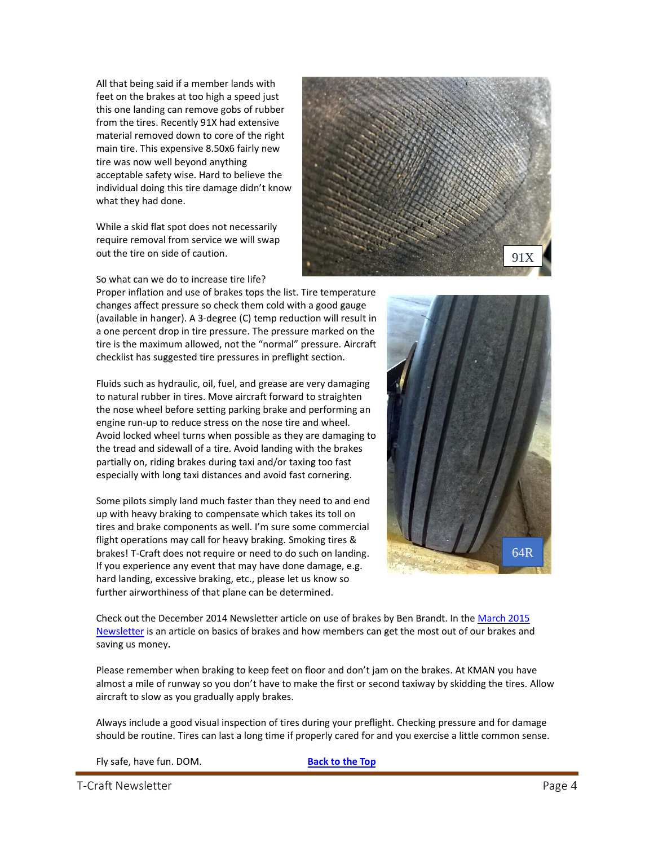All that being said if a member lands with feet on the brakes at too high a speed just this one landing can remove gobs of rubber from the tires. Recently 91X had extensive material removed down to core of the right main tire. This expensive 8.50x6 fairly new tire was now well beyond anything acceptable safety wise. Hard to believe the individual doing this tire damage didn't know what they had done.

While a skid flat spot does not necessarily require removal from service we will swap out the tire on side of caution.



So what can we do to increase tire life?

Proper inflation and use of brakes tops the list. Tire temperature changes affect pressure so check them cold with a good gauge (available in hanger). A 3-degree (C) temp reduction will result in a one percent drop in tire pressure. The pressure marked on the tire is the maximum allowed, not the "normal" pressure. Aircraft checklist has suggested tire pressures in preflight section.

Fluids such as hydraulic, oil, fuel, and grease are very damaging to natural rubber in tires. Move aircraft forward to straighten the nose wheel before setting parking brake and performing an engine run-up to reduce stress on the nose tire and wheel. Avoid locked wheel turns when possible as they are damaging to the tread and sidewall of a tire. Avoid landing with the brakes partially on, riding brakes during taxi and/or taxing too fast especially with long taxi distances and avoid fast cornering.

Some pilots simply land much faster than they need to and end up with heavy braking to compensate which takes its toll on tires and brake components as well. I'm sure some commercial flight operations may call for heavy braking. Smoking tires & brakes! T-Craft does not require or need to do such on landing. If you experience any event that may have done damage, e.g. hard landing, excessive braking, etc., please let us know so further airworthiness of that plane can be determined.



Check out the December 2014 Newsletter article on use of brakes by Ben Brandt. In th[e March 2015](http://www.t-craft.org/Newsletters/201503.pdf)  [Newsletter](http://www.t-craft.org/Newsletters/201503.pdf) is an article on basics of brakes and how members can get the most out of our brakes and saving us money**.**

Please remember when braking to keep feet on floor and don't jam on the brakes. At KMAN you have almost a mile of runway so you don't have to make the first or second taxiway by skidding the tires. Allow aircraft to slow as you gradually apply brakes.

Always include a good visual inspection of tires during your preflight. Checking pressure and for damage should be routine. Tires can last a long time if properly cared for and you exercise a little common sense.

Fly safe, have fun. DOM. **[Back to the Top](#page-0-0)**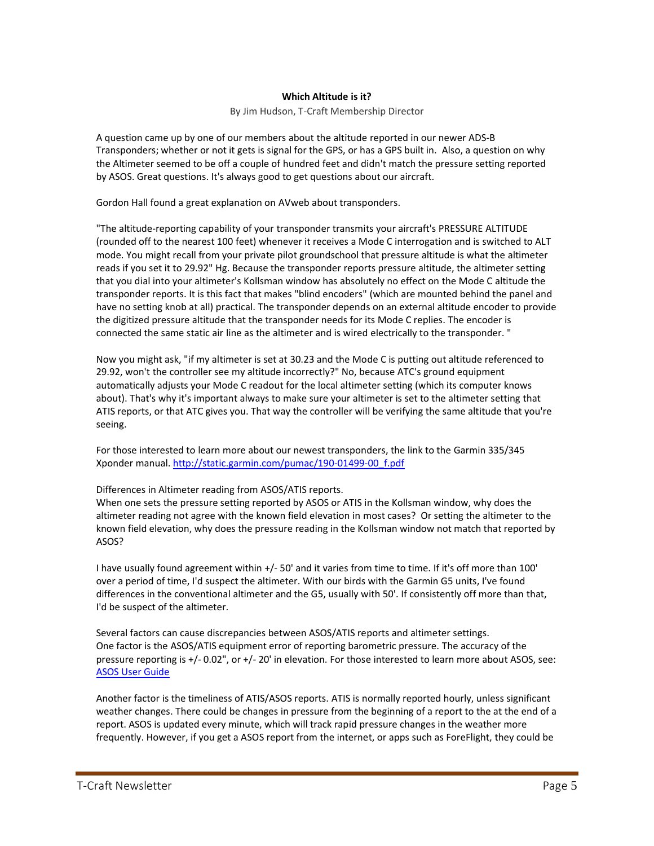#### **Which Altitude is it?**

#### By Jim Hudson, T-Craft Membership Director

<span id="page-4-0"></span>A question came up by one of our members about the altitude reported in our newer ADS-B Transponders; whether or not it gets is signal for the GPS, or has a GPS built in. Also, a question on why the Altimeter seemed to be off a couple of hundred feet and didn't match the pressure setting reported by ASOS. Great questions. It's always good to get questions about our aircraft.

Gordon Hall found a great explanation on AVweb about transponders.

"The altitude-reporting capability of your transponder transmits your aircraft's PRESSURE ALTITUDE (rounded off to the nearest 100 feet) whenever it receives a Mode C interrogation and is switched to ALT mode. You might recall from your private pilot groundschool that pressure altitude is what the altimeter reads if you set it to 29.92" Hg. Because the transponder reports pressure altitude, the altimeter setting that you dial into your altimeter's Kollsman window has absolutely no effect on the Mode C altitude the transponder reports. It is this fact that makes "blind encoders" (which are mounted behind the panel and have no setting knob at all) practical. The transponder depends on an external altitude encoder to provide the digitized pressure altitude that the transponder needs for its Mode C replies. The encoder is connected the same static air line as the altimeter and is wired electrically to the transponder. "

Now you might ask, "if my altimeter is set at 30.23 and the Mode C is putting out altitude referenced to 29.92, won't the controller see my altitude incorrectly?" No, because ATC's ground equipment automatically adjusts your Mode C readout for the local altimeter setting (which its computer knows about). That's why it's important always to make sure your altimeter is set to the altimeter setting that ATIS reports, or that ATC gives you. That way the controller will be verifying the same altitude that you're seeing.

For those interested to learn more about our newest transponders, the link to the Garmin 335/345 Xponder manual. [http://static.garmin.com/pumac/190-01499-00\\_f.pdf](http://static.garmin.com/pumac/190-01499-00_f.pdf)

#### Differences in Altimeter reading from ASOS/ATIS reports.

When one sets the pressure setting reported by ASOS or ATIS in the Kollsman window, why does the altimeter reading not agree with the known field elevation in most cases? Or setting the altimeter to the known field elevation, why does the pressure reading in the Kollsman window not match that reported by ASOS?

I have usually found agreement within +/- 50' and it varies from time to time. If it's off more than 100' over a period of time, I'd suspect the altimeter. With our birds with the Garmin G5 units, I've found differences in the conventional altimeter and the G5, usually with 50'. If consistently off more than that, I'd be suspect of the altimeter.

Several factors can cause discrepancies between ASOS/ATIS reports and altimeter settings. One factor is the ASOS/ATIS equipment error of reporting barometric pressure. The accuracy of the pressure reporting is +/- 0.02", or +/- 20' in elevation. For those interested to learn more about ASOS, see: [ASOS User Guide](http://www.nws.noaa.gov/asos/aum-toc.pdf)

Another factor is the timeliness of ATIS/ASOS reports. ATIS is normally reported hourly, unless significant weather changes. There could be changes in pressure from the beginning of a report to the at the end of a report. ASOS is updated every minute, which will track rapid pressure changes in the weather more frequently. However, if you get a ASOS report from the internet, or apps such as ForeFlight, they could be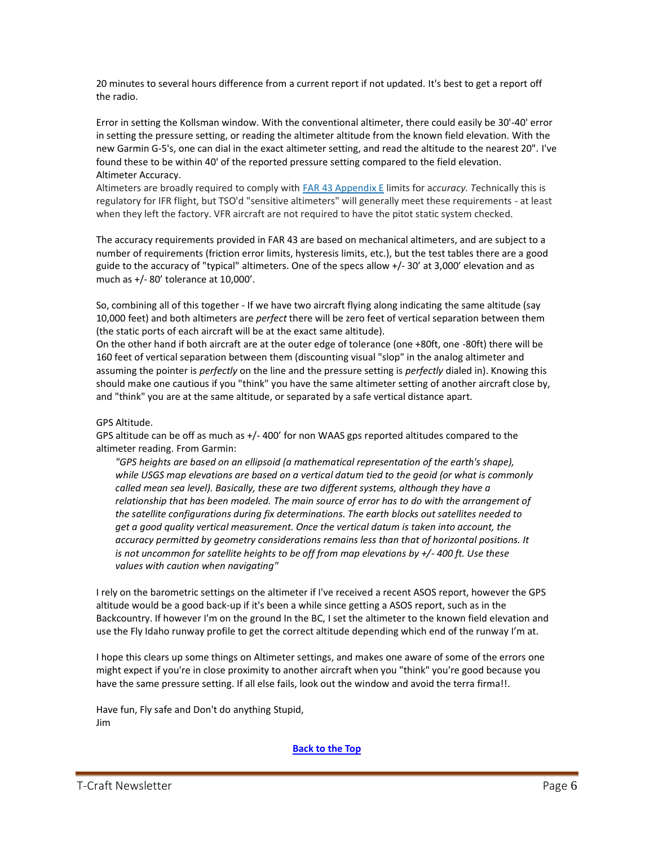20 minutes to several hours difference from a current report if not updated. It's best to get a report off the radio.

Error in setting the Kollsman window. With the conventional altimeter, there could easily be 30'-40' error in setting the pressure setting, or reading the altimeter altitude from the known field elevation. With the new Garmin G-5's, one can dial in the exact altimeter setting, and read the altitude to the nearest 20". I've found these to be within 40' of the reported pressure setting compared to the field elevation. Altimeter Accuracy.

Altimeters are broadly required to comply with FAR 43 [Appendix](http://www.ecfr.gov/cgi-bin/retrieveECFR?gp=&SID=&r=PART&n=14y1.0.1.3.21#14:1.0.1.3.21.0.363.14.57) E limits for a*ccuracy. T*echnically this is regulatory for IFR flight, but TSO'd "sensitive altimeters" will generally meet these requirements - at least when they left the factory. VFR aircraft are not required to have the pitot static system checked.

The accuracy requirements provided in FAR 43 are based on mechanical altimeters, and are subject to a number of requirements (friction error limits, hysteresis limits, etc.), but the test tables there are a good guide to the accuracy of "typical" altimeters. One of the specs allow +/- 30' at 3,000' elevation and as much as +/- 80' tolerance at 10,000'.

So, combining all of this together - If we have two aircraft flying along indicating the same altitude (say 10,000 feet) and both altimeters are *perfect* there will be zero feet of vertical separation between them (the static ports of each aircraft will be at the exact same altitude).

On the other hand if both aircraft are at the outer edge of tolerance (one +80ft, one -80ft) there will be 160 feet of vertical separation between them (discounting visual "slop" in the analog altimeter and assuming the pointer is *perfectly* on the line and the pressure setting is *perfectly* dialed in). Knowing this should make one cautious if you "think" you have the same altimeter setting of another aircraft close by, and "think" you are at the same altitude, or separated by a safe vertical distance apart.

#### GPS Altitude.

GPS altitude can be off as much as  $+/-$  400 $'$  for non WAAS gps reported altitudes compared to the altimeter reading. From Garmin:

*"GPS heights are based on an ellipsoid (a mathematical representation of the earth's shape), while USGS map elevations are based on a vertical datum tied to the geoid (or what is commonly called mean sea level). Basically, these are two different systems, although they have a relationship that has been modeled. The main source of error has to do with the arrangement of the satellite configurations during fix determinations. The earth blocks out satellites needed to get a good quality vertical measurement. Once the vertical datum is taken into account, the accuracy permitted by geometry considerations remains less than that of horizontal positions. It is not uncommon for satellite heights to be off from map elevations by +/- 400 ft. Use these values with caution when navigating"*

I rely on the barometric settings on the altimeter if I've received a recent ASOS report, however the GPS altitude would be a good back-up if it's been a while since getting a ASOS report, such as in the Backcountry. If however I'm on the ground In the BC, I set the altimeter to the known field elevation and use the Fly Idaho runway profile to get the correct altitude depending which end of the runway I'm at.

I hope this clears up some things on Altimeter settings, and makes one aware of some of the errors one might expect if you're in close proximity to another aircraft when you "think" you're good because you have the same pressure setting. If all else fails, look out the window and avoid the terra firma!!.

Have fun, Fly safe and Don't do anything Stupid, Jim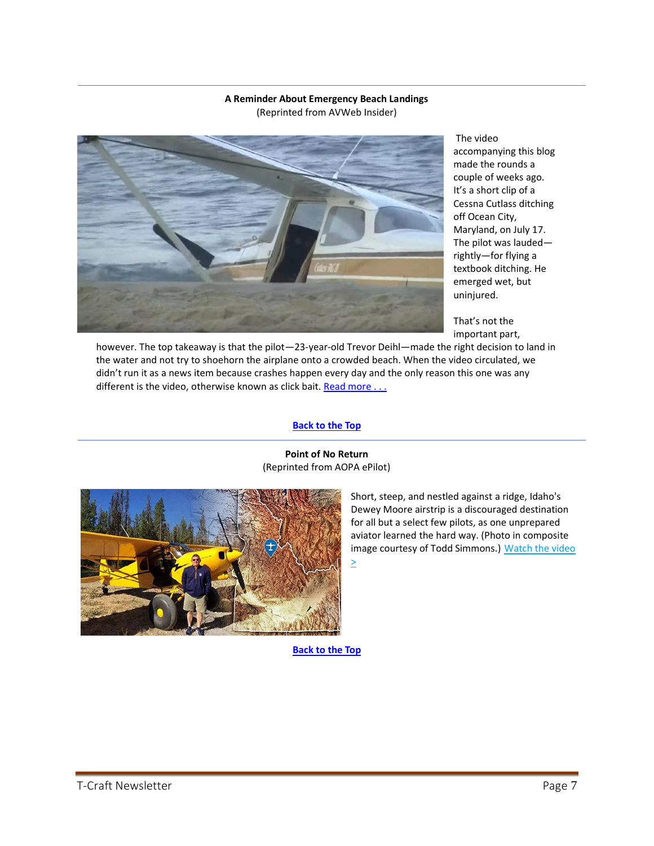#### **A Reminder About Emergency Beach Landings** (Reprinted from AVWeb Insider)

<span id="page-6-0"></span>

The video accompanying this blog made the rounds a couple of weeks ago. It's a short clip of a Cessna Cutlass ditching off Ocean City, Maryland, on July 17. The pilot was lauded rightly—for flying a textbook ditching. He emerged wet, but uninjured.

That's not the important part,

however. The top takeaway is that the pilot—23-year-old Trevor Deihl—made the right decision to land in the water and not try to shoehorn the airplane onto a crowded beach. When the video circulated, we didn't run it as a news item because crashes happen every day and the only reason this one was any different is the video, otherwise known as click bait. [Read more . . .](https://www.avweb.com/insider/a-reminder-about-beach-landings/)

#### **[Back to the Top](#page-0-0)**



**Point of No Return** (Reprinted from AOPA ePilot)

> Short, steep, and nestled against a ridge, Idaho's Dewey Moore airstrip is a discouraged destination for all but a select few pilots, as one unprepared aviator learned the hard way. (Photo in composite image courtesy of Todd Simmons.) Watch the video  $\geq$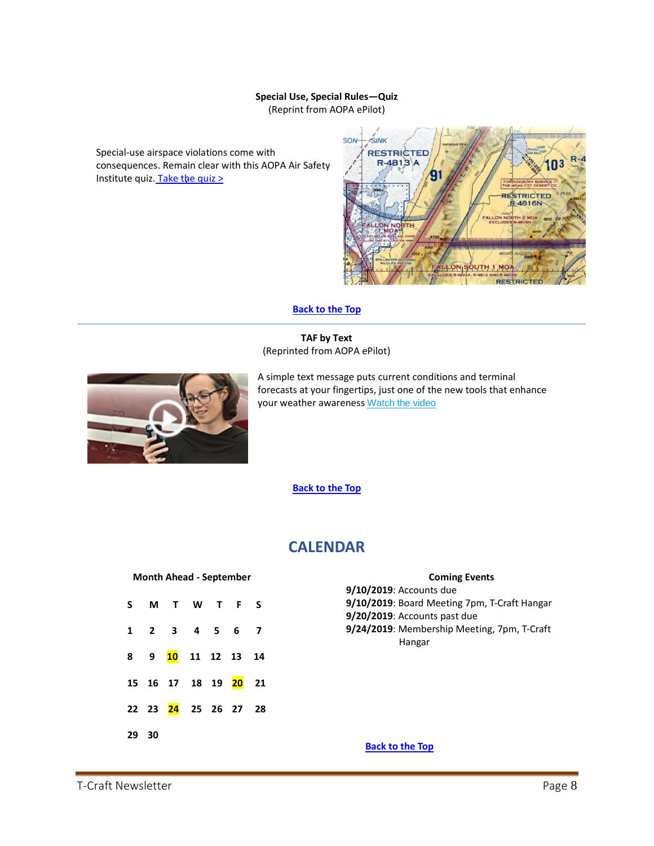#### **Special Use, Special Rules—Quiz** (Reprint from AOPA ePilot)

<span id="page-7-0"></span>Special-use airspace violations come with consequences. Remain clear with this AOPA Air Safety Institute quiz. Take the quiz  $>$ 



#### **[Back to the Top](#page-0-0)**

**TAF by Text** (Reprinted from AOPA ePilot)

<span id="page-7-1"></span>

A simple text message puts current conditions and terminal forecasts at your fingertips, just one of the new tools that enhance your weather awareness [Watch the video](https://click.mail.aopa.org/?qs=87e4d6b8f2a317956bba0f32bece5204bdb54085a02bb6047f3ed593aaaeae8e5d87dfa9fc042c7c40658259a4d6116f4b637503732a247a60a6a8ad7b9b8d03)

**[Back to the Top](#page-0-0)**

# **CALENDAR**

#### <span id="page-7-2"></span>**Month Ahead - September**

<span id="page-7-3"></span>

|       | S M T W T F S                         |  |  |
|-------|---------------------------------------|--|--|
|       | 1 2 3 4 5 6 7                         |  |  |
|       | 8 9 10 11 12 13 14                    |  |  |
|       | 15  16  17  18  19 <mark>20</mark> 21 |  |  |
|       | 22 23 24 25 26 27 28                  |  |  |
| 29 30 |                                       |  |  |

### **Coming Events**

<span id="page-7-4"></span>**9/10/2019**: Accounts due **9/10/2019**: Board Meeting 7pm, T-Craft Hangar **9/20/2019**: Accounts past due **9/24/2019**: Membership Meeting, 7pm, T-Craft Hangar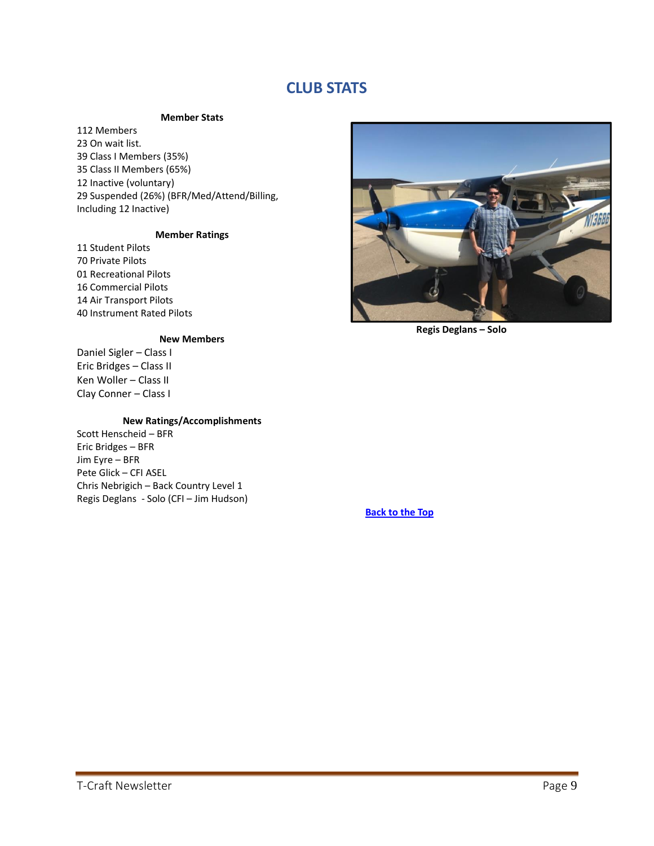# **CLUB STATS**

#### **Member Stats**

<span id="page-8-1"></span><span id="page-8-0"></span>112 Members On wait list. Class I Members (35%) Class II Members (65%) Inactive (voluntary) Suspended (26%) (BFR/Med/Attend/Billing, Including 12 Inactive)

#### **Member Ratings**

 Student Pilots Private Pilots 01 Recreational Pilots Commercial Pilots Air Transport Pilots Instrument Rated Pilots

#### **New Members**

Daniel Sigler – Class I Eric Bridges – Class II Ken Woller – Class II Clay Conner – Class I

#### **New Ratings/Accomplishments**

<span id="page-8-2"></span>Scott Henscheid – BFR Eric Bridges – BFR Jim Eyre – BFR Pete Glick – CFI ASEL Chris Nebrigich – Back Country Level 1 Regis Deglans - Solo (CFI – Jim Hudson)



**Regis Deglans – Solo**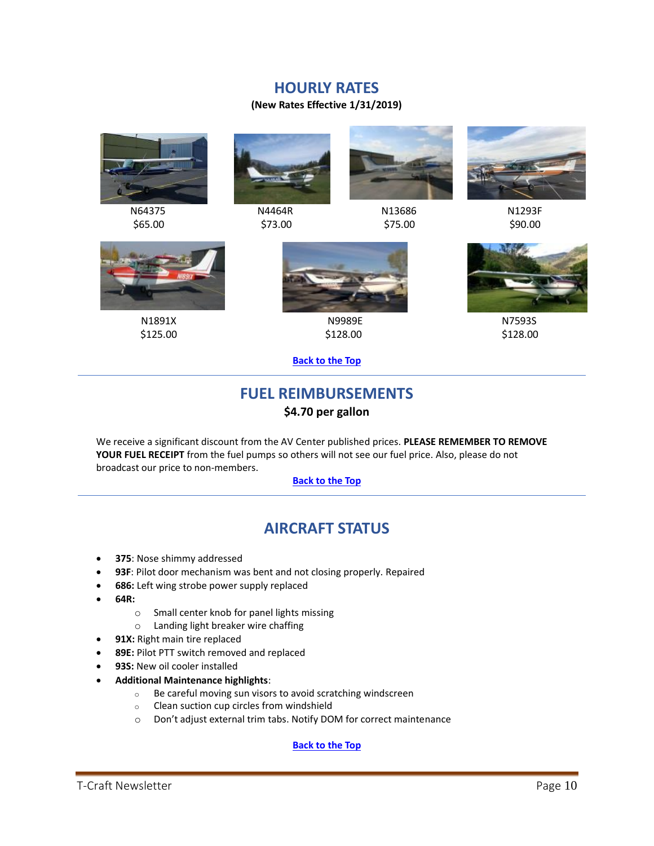### **HOURLY RATES**

#### **(New Rates Effective 1/31/2019)**





 $$65.00$   $$73.00$   $$90.00$ 



N64375 N4464R N13686 N1293F





N1891X N9989E N7593S





 $$125.00$   $$128.00$   $$128.00$ 

#### **[Back to the Top](#page-0-0)**

# **FUEL REIMBURSEMENTS \$4.70 per gallon**

<span id="page-9-0"></span>We receive a significant discount from the AV Center published prices. **PLEASE REMEMBER TO REMOVE YOUR FUEL RECEIPT** from the fuel pumps so others will not see our fuel price. Also, please do not broadcast our price to non-members.

#### **[Back to the Top](#page-0-0)**

# **AIRCRAFT STATUS**

- <span id="page-9-1"></span>• **375**: Nose shimmy addressed
- **93F**: Pilot door mechanism was bent and not closing properly. Repaired
- **686:** Left wing strobe power supply replaced
- **64R:**
	- o Small center knob for panel lights missing
	- o Landing light breaker wire chaffing
- **91X:** Right main tire replaced
- **89E:** Pilot PTT switch removed and replaced
- 93S: New oil cooler installed
- **Additional Maintenance highlights**:
	- o Be careful moving sun visors to avoid scratching windscreen
	- o Clean suction cup circles from windshield
	- o Don't adjust external trim tabs. Notify DOM for correct maintenance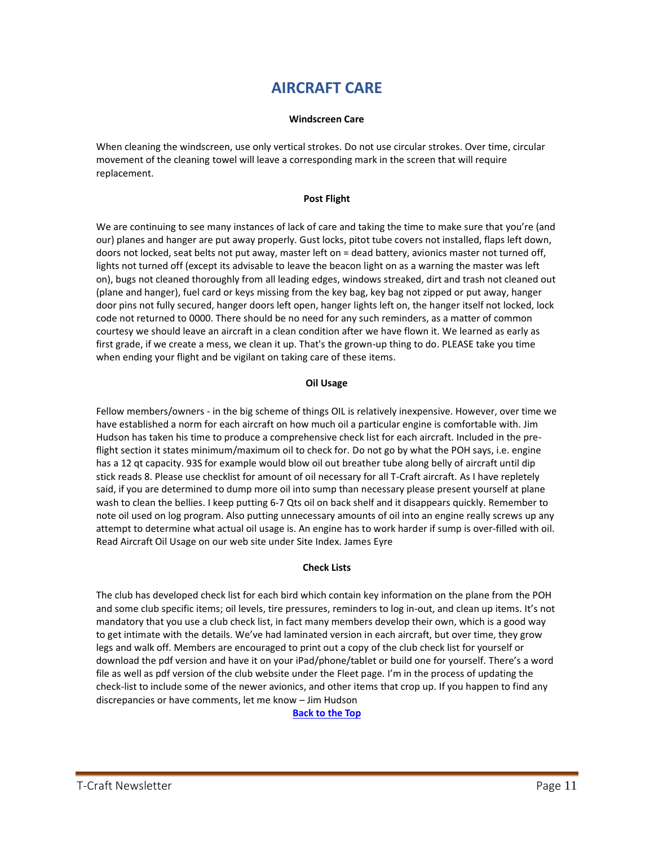# **AIRCRAFT CARE**

#### **Windscreen Care**

<span id="page-10-1"></span><span id="page-10-0"></span>When cleaning the windscreen, use only vertical strokes. Do not use circular strokes. Over time, circular movement of the cleaning towel will leave a corresponding mark in the screen that will require replacement.

#### **Post Flight**

<span id="page-10-2"></span>We are continuing to see many instances of lack of care and taking the time to make sure that you're (and our) planes and hanger are put away properly. Gust locks, pitot tube covers not installed, flaps left down, doors not locked, seat belts not put away, master left on = dead battery, avionics master not turned off, lights not turned off (except its advisable to leave the beacon light on as a warning the master was left on), bugs not cleaned thoroughly from all leading edges, windows streaked, dirt and trash not cleaned out (plane and hanger), fuel card or keys missing from the key bag, key bag not zipped or put away, hanger door pins not fully secured, hanger doors left open, hanger lights left on, the hanger itself not locked, lock code not returned to 0000. There should be no need for any such reminders, as a matter of common courtesy we should leave an aircraft in a clean condition after we have flown it. We learned as early as first grade, if we create a mess, we clean it up. That's the grown-up thing to do. PLEASE take you time when ending your flight and be vigilant on taking care of these items.

#### **Oil Usage**

<span id="page-10-3"></span>Fellow members/owners - in the big scheme of things OIL is relatively inexpensive. However, over time we have established a norm for each aircraft on how much oil a particular engine is comfortable with. Jim Hudson has taken his time to produce a comprehensive check list for each aircraft. Included in the preflight section it states minimum/maximum oil to check for. Do not go by what the POH says, i.e. engine has a 12 qt capacity. 93S for example would blow oil out breather tube along belly of aircraft until dip stick reads 8. Please use checklist for amount of oil necessary for all T-Craft aircraft. As I have repletely said, if you are determined to dump more oil into sump than necessary please present yourself at plane wash to clean the bellies. I keep putting 6-7 Qts oil on back shelf and it disappears quickly. Remember to note oil used on log program. Also putting unnecessary amounts of oil into an engine really screws up any attempt to determine what actual oil usage is. An engine has to work harder if sump is over-filled with oil. Read Aircraft Oil Usage on our web site under Site Index. James Eyre

#### **Check Lists**

<span id="page-10-4"></span>The club has developed check list for each bird which contain key information on the plane from the POH and some club specific items; oil levels, tire pressures, reminders to log in-out, and clean up items. It's not mandatory that you use a club check list, in fact many members develop their own, which is a good way to get intimate with the details. We've had laminated version in each aircraft, but over time, they grow legs and walk off. Members are encouraged to print out a copy of the club check list for yourself or download the pdf version and have it on your iPad/phone/tablet or build one for yourself. There's a word file as well as pdf version of the club website under the Fleet page. I'm in the process of updating the check-list to include some of the newer avionics, and other items that crop up. If you happen to find any discrepancies or have comments, let me know – Jim Hudson